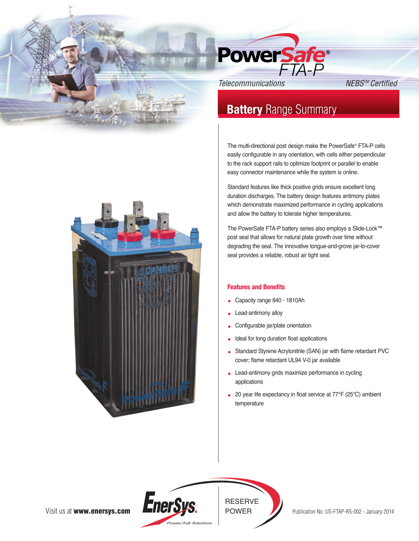

# **Battery** Range Summary

The multi-directional post design make the PowerSafe® FTA-P cells easily configurable in any orientation, with cells either perpendicular to the rack support rails to optimize footprint or parallel to enable easy connector maintenance while the system is online.

Standard features like thick positive grids ensure excellent long duration discharges. The battery design features antimony plates which demonstrate maximized performance in cycling applications and allow the battery to tolerate higher temperatures.

The PowerSafe FTA-P battery series also employs a Slide-Lock™ post seal that allows for natural plate growth over time without degrading the seal. The innovative tongue-and-grove jar-to-cover seal provides a reliable, robust air tight seal.

# **Features and Benefits**

- Capacity range 840 1810Ah
- Lead-antimony alloy
- Configurable jar/plate orientation
- Ideal for long duration float applications
- Standard Styrene Acrylonitrile (SAN) jar with flame retardant PVC cover; flame retardant UL94 V-0 jar available
- Lead-antimony grids maximize performance in cycling applications
- 20 year life expectancy in float service at 77°F (25°C) ambient temperature